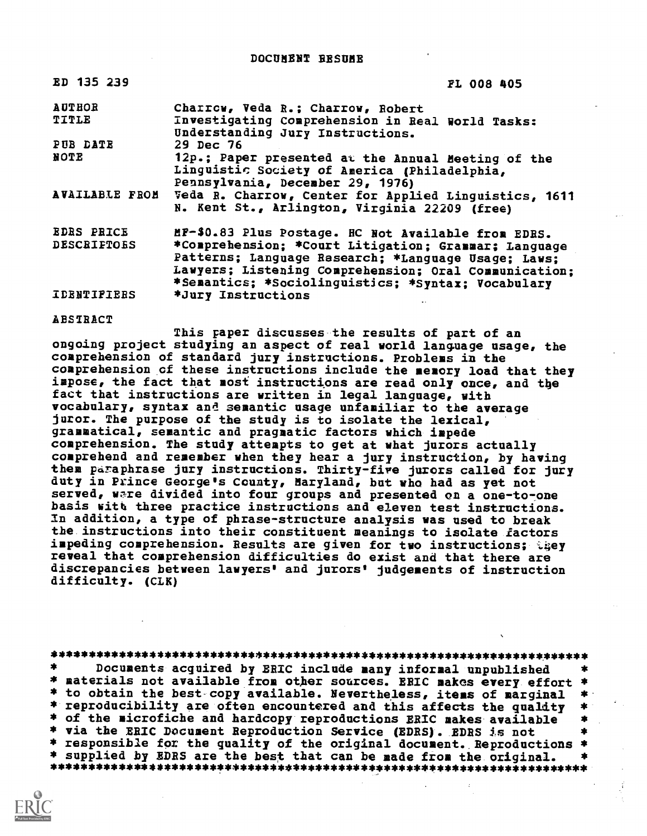ED 135 239 FL 008 405

| <b>AUTHOR</b><br>TITLE | Charrow, Veda R.; Charrow, Robert<br>Investigating Comprehension in Real World Tasks:<br>Understanding Jury Instructions.                                                                                                  |
|------------------------|----------------------------------------------------------------------------------------------------------------------------------------------------------------------------------------------------------------------------|
| PUB DATE               | 29 Dec 76                                                                                                                                                                                                                  |
| NOTE                   | 12p.; Paper presented at the Annual Meeting of the<br>Linguistic Society of America (Philadelphia,<br>Pennsylvania, December 29, 1976)                                                                                     |
| <b>AVAILABLE FROM</b>  | Veda R. Charrow, Center for Applied Linguistics, 1611<br>N. Kent St., Arlington, Virginia 22209 (free)                                                                                                                     |
| <b>EDRS PRICE</b>      | MF-\$0.83 Plus Postage. HC Not Available from EDRS.                                                                                                                                                                        |
| <b>DESCRIFTOES</b>     | *Comprehension; *Court Litigation; Grammar; Language<br>Patterns; Language Research; *Language Usage; Laws;<br>Lawyers; Listening Comprehension; Oral Communication;<br>*Semantics; *Sociolinguistics; *Syntax; Vocabulary |
| <b>IDENTIFIERS</b>     | *Jury Instructions                                                                                                                                                                                                         |

ABSTRACT

This Faper discusses the results of part of an ongoing project studying an aspect of real world language usage, the comprehension of standard jury instructions. Problems in the comprehension cf these instructions include the memory load that they impose, the fact that most instructions are read only once, and tbe fact that instructions are written in legal language, with vocabulary, syntax and semantic usage unfamiliar to the average juror. The purpose of the study is to isolate the lexical, grammatical, semantic and pragmatic factors which impede comprehension. The study attempts to get at what jurors actually comprehend and remember when they hear a jury instruction, by having them paraphrase jury instructions. Thirty-five jurors called for jury duty in Prince George's County, Maryland, bat who had as yet not served, ware divided into four groups and presented on a one-to-one basis with three practice instructions and eleven test instructions. In addition, a type of phrase-structure analysis was used to break the instructions into their constituent meanings to isolate factors impeding comprehension. Results are given for two instructions; they reveal that comprehension difficulties do exist and that there are discrepancies between lawyers' and jurors' judgements of instruction difficulty. (CLK)

## \*\*\*\*\*\*\*\*\*\*\*\*\*\*\*\*\*\*\*\*\*\*\*\*\*\*\*\*\*\*\*\*\*\*\*\*\*\*\*\*\*\*\*\*\*\*\*\*\*\*\*\*\*\*\*\*\*\*\*\*\*\*\*\*\*\*\*\*\*\*\*

Documents acquired by ERIC include many informal unpublished \* materials not available from other sources. ERIC makes every effort \*<br>\* to obtain the best copy available. Nevertheless, items of marginal \* \* to obtain the best-copy available. Nevertheless, items of marginal \*<br>\* reproducibility are often encountered and this affects the quality \*<br>\* of the microfiche and hardcopy reproductions ERIC makes available \*<br>\* via the \* responsible for the quality of the original document. Reproductions \*<br>\* supplied by EDRS are the best that can be made from the original. \* \* supplied by EDRS are the best that can be made from the original. \* \*\*\*\*\*\*\*\*\*\*\*\*\*\*\*\*\*\*\*\*\*\*\*\*\*\*\*\*\*\*\*\*\*\*\*\*\*\*\*\*\*\*\*\*\*\*\*\*\*\*\*\*\*\*\*\*\*\*\*\*\*\*\*\*\*\*\*\*\*\*\*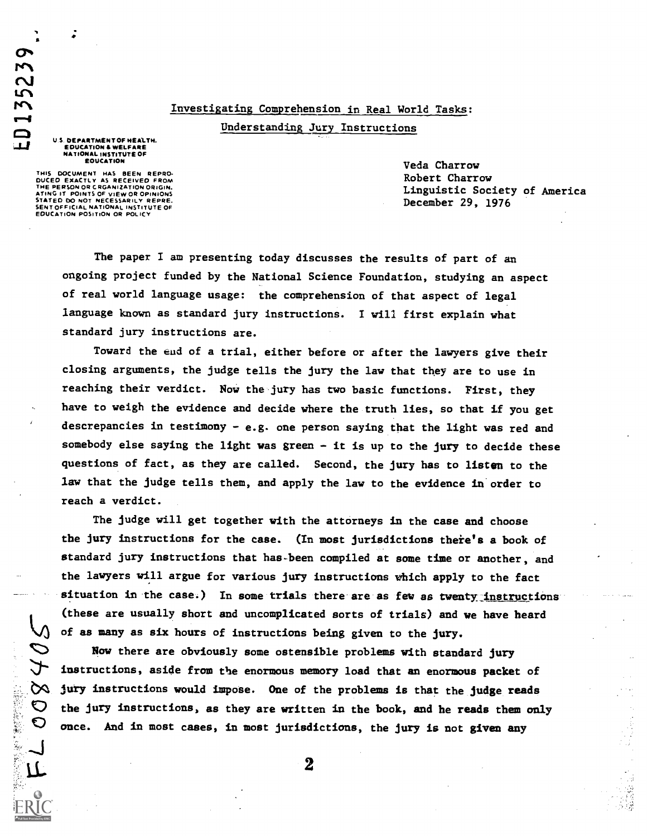# Investigating Comprehension in Real World Tasks:

Understanding Jury Instructions

U S DEPARTMENT OF HEALTH. EDUCATION & WELFARE<br>NATIONAL INSTITUTE OF EDUCATION

a

**ED13523** 

**最高的基本的基本** 

THIS DOCUMENT HAS BEEN REPRO-DUCED EXACTLY AS RECEIVED FROM THE PERSON OR CRGANIZATION ORIGIN. ATING, IT POINTS OF VIEW OR OPINIONS STATED DO NOT NECESSARILY REPRE-SENT OFFICIAL NATIONAL INSTITUTE OF EDUCATION POSITION OR POLICY

Veda Charrow Robert Charrow Linguistic Society of America December 29, 1976

The paper I am presenting today discusses the results of part of an ongoing project funded by the National Science Foundation, studying an aspect of real world language usage: the comprehension of that aspect of legal language known as standard jury instructions. I will first explain what standard jury instructions are.

Toward the eud of a trial, either before or after the lawyers give their closing arguments, the judge tells the jury the law that they are to use in reaching their verdict. Now the jury has two basic functions. First, they have to weigh the evidence and decide where the truth lies, so that if you get descrepancies in testimony - e.g. one person saying that the light was red and somebody else saying the light was green - it is up to the jury to decide these questions of fact, as they are called. Second, the jury has to listen to the law that the judge tells them, and apply the law to the evidence in order to reach a verdict.

The judge will get together with the attorneys in the case and choose the jury instructions for the case. (In most jurisdictions there's a book of standard jury instructions that has-been compiled at some time or another, and the lawyers will argue for various jury instructions which apply to the fact situation in the case.) In some trials there are as few as twenty instructions (these are usually short and uncomplicated sorts of trials) and we have heard of as many as six hours of instructions being given to the jury.

Row there are obviously some ostensible problems with standard jury instructions, aside from the enormous memory load that an enormous packet of  $\infty$  jury instructions would impose. One of the problems is that the judge reads them only  $\infty$  the jury is not always and in most cases, in most jurisdictions, the jury is not given any 0 once. And in most cases, in most jurisdictions, the jury is not given any

 $\mathsf{L}$  2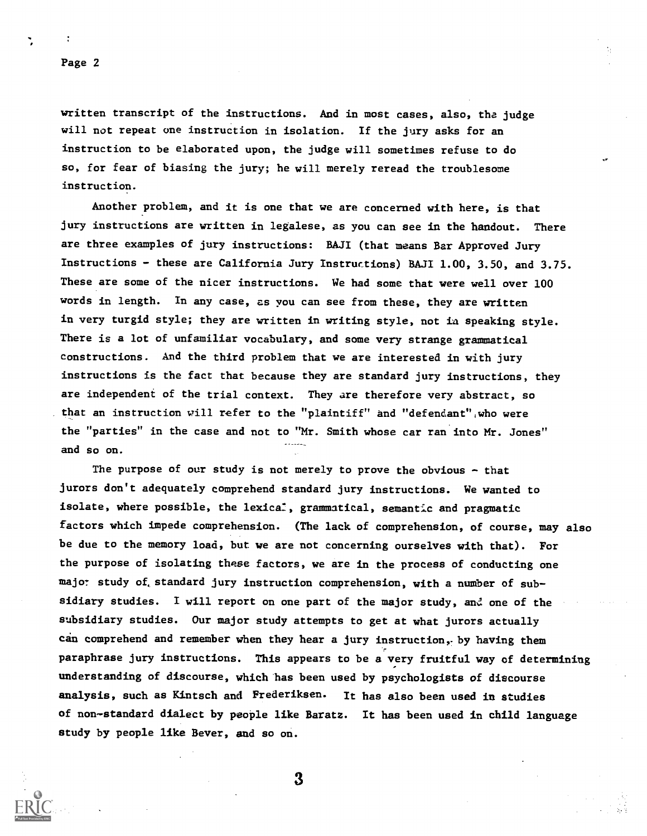written transcript of the instructions. And in most cases, also, the judge will not repeat one instruction in isolation. If the jury asks for an instruction to be elaborated upon, the judge will sometimes refuse to do so, for fear of biasing the jury; he will merely reread the troublesome instruction.

Another problem, and it is one that we are concerned with here, is that jury instructions are written in legalese, as you can see in the handout. There are three examples of jury instructions: BAJI (that means Bar Approved Jury Instructions - these are California Jury Instructions) BAJI 1.00, 3.50, and 3.75. These are some of the nicer instructions. We had some that were well over 100 words in length. In any case, as you can see from these, they are written in very turgid style; they are written in writing style, not ia speaking style. There is a lot of unfamiliar vocabulary, and some very strange grammatical constructions. And the third problem that we are interested in with jury instructions is the fact that because they are standard jury instructions, they are independent of the trial context. They are therefore very abstract, so that an instruction will refer to the "plaintiff" and "defendant",who were the "parties" in the case and not to "Mr. Smith whose car ran into Mr. Jones" and so on.

The purpose of our study is not merely to prove the obvious - that jurors don't adequately comprehend standard jury instructions. We wanted to isolate, where possible, the lexica:, grammatical, semantic and pragmatic factors which impede comprehension. (The lack of comprehension, of course, may also be due to the memory load, but we are not concerning ourselves with that). For the purpose of isolating these factors, we are in the process of conducting one major study of standard jury instruction comprehension, with a number of subsidiary studies. I will report on one part of the major study, and one of the subsidiary studies. Our major study attempts to get at what jurors actually can comprehend and remember when they hear a jury instruction, by having them paraphrase jury instructions. This appears to be a very fruitful way of determining understanding of discourse, which has been used by psychologists of discourse analysis, such as Kintsch and Frederiksen. It has also been used in studies of non-standard dialect by people like Baratz. It has been used in child language study by people like Bever, and so on.

3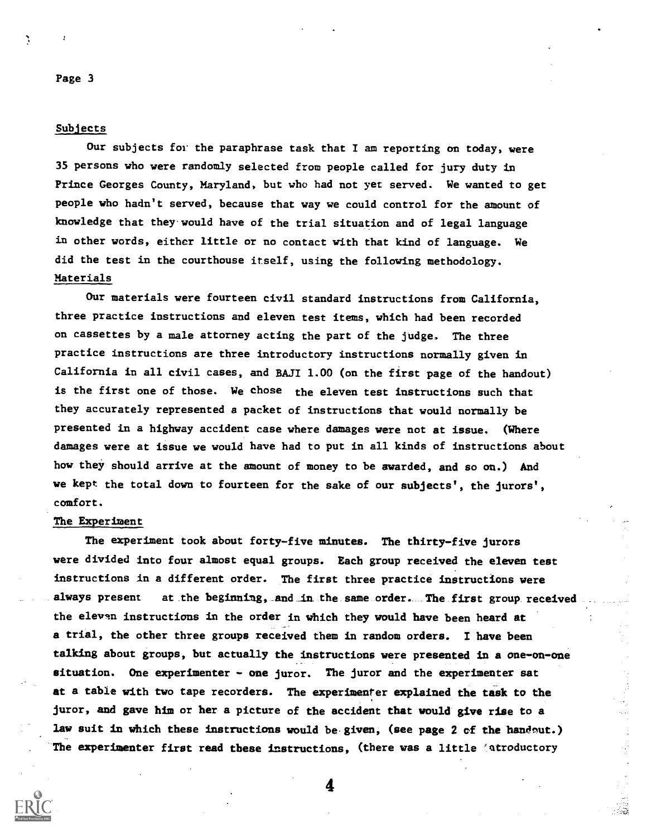## Subjects

Our subjects for the paraphrase task that I am reporting on today, were 35 persons who were randomly selected from people called for jury duty in Prince Georges County, Maryland, but who had not yet served. We wanted to get people who hadn't served, because that way we could control for the amount of knowledge that they.would have of the trial situation and of legal language in other words, either little or no contact with that kind of language. We did the test in the courthouse itself, using the following methodology. Materials

Our materials were fourteen civil standard instructions from California, three practice instructions and eleven test items, which had been recorded on cassettes by a male attorney acting the part of the judge. The three practice instructions are three introductory instructions normally given in California in all civil cases, and BAJI 1.00 (on the first page of the handout) is the first one of those. We chose the eleven test instructions such that they accurately represented a packet of instructions that would normally be presented in a highway accident case where damages were not at issue. (Where damages were at issue we would have had to put in all kinds of instructions about how they should arrive at the amount of money to be awarded, and so on.) And we kept the total down to fourteen for the sake of our subjects', the jurors', comfort.

## The Experiment

The experiment took about forty-five minutes. The thirty-five jurors were divided into four almost equal groups. Each group received the eleven test instructions in a different order. The first three practice instructions were always present at the beginning, and in the same order. The first group received the eleven instructions in the order in which they would have been heard at<br>a trial, the other three groups received them in random orders. I have been a trial, the other three groups received them in random orders. talking about groups, but actually the instructions were presented in a one-on-one situation. One experimenter - one juror. The juror and the experimenter sat at a table with two tape recorders. The experimenter explained the task to the juror, and gave him or her a picture of the accident that would give rise to a law suit in which these instructions would be given, (see page 2 of the handout.) The experimenter first read these instructions, (there was a little (atroductory

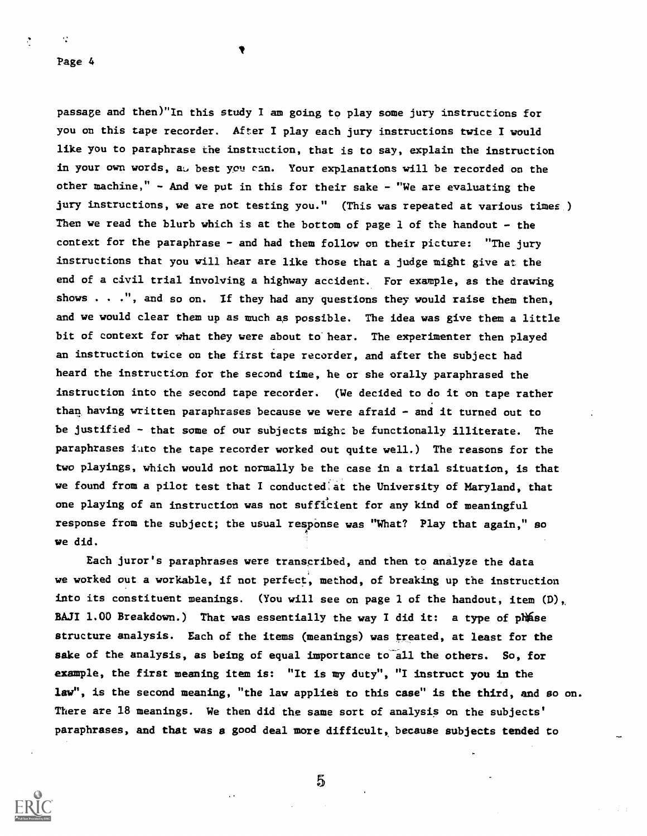$\ddot{\cdot}$ 

 $\ddot{\cdot}$ 

passage and then)"In this study I am going to play some jury instructions for you on this tape recorder. After I play each jury instructions twice I would like you to paraphrase the instruction, that is to say, explain the instruction in your own words, at best you can. Your explanations will be recorded on the other machine," - And we put in this for their sake - "We are evaluating the jury instructions, we are not testing you." (This was repeated at various times ) Then we read the blurb which is at the bottom of page 1 of the handout - the context for the paraphrase - and had them follow on their picture: "The jury instructions that you will hear are like those that a judge might give at the end of a civil trial involving a highway accident. For example, as the drawing shows  $\ldots$ ", and so on. If they had any questions they would raise them then, and we would clear them up as much as possible. The idea was give them a little bit of context for what they were about to hear. The experimenter then played an instruction twice on the first tape recorder, and after the subject had heard the instruction for the second time, he or she orally paraphrased the instruction into the second tape recorder. (We decided to do it on tape rather than having written paraphrases because we were afraid - and it turned out to be justified - that some of our subjects might be functionally illiterate. The paraphrases iuto the tape recorder worked out quite well.) The reasons for the two playings, which would not normally be the case in a trial situation, is that we found from a pilot test that I conducted:at the University of Maryland, that one playing of an instruction was not sufficient for any kind of meaningful response from the subject; the usual response was "What? Play that again," so  $4 - 1$ we did.

Each juror's paraphrases were transcribed, and then to analyze the data we worked out a workable, if not perfect, method, of breaking up the instruction into its constituent meanings. (You will see on page 1 of the handout, item  $(D)$ , BAJI 1.00 Breakdown.) That was essentially the way I did it: a type of phise structure analysis. Each of the items (meanings) was treated, at least for the sake of the analysis, as being of equal importance to all the others. So, for example, the first meaning item is: "It is my duty", "I instruct you in the law", is the second meaning, "the law applies to this case" is the third, and so on. There are 18 meanings. We then did the same sort of analysis on the subjects' paraphrases, and that was a good deal more difficult, because subjects tended to

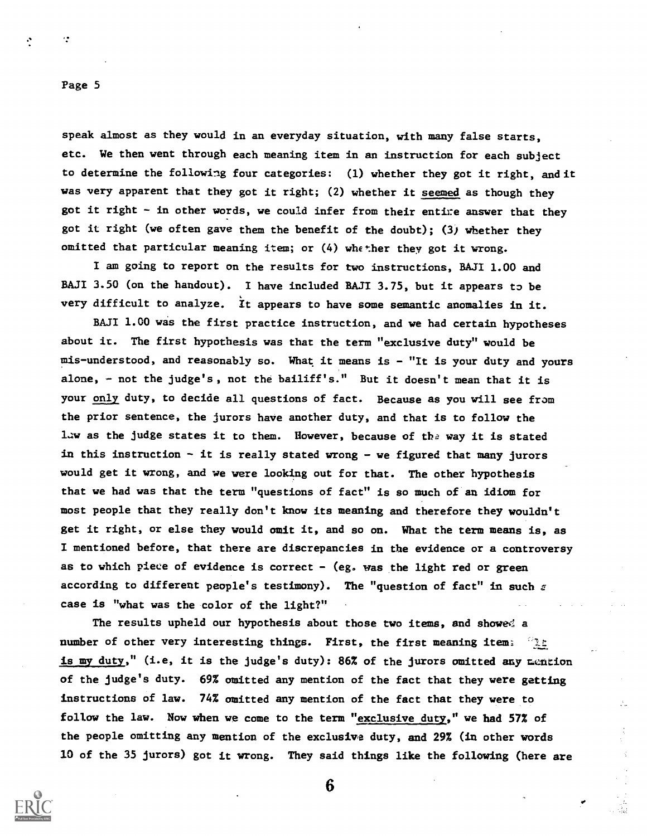$\ddot{\cdot}$ 

÷

speak almost as they would in an everyday situation, with many false starts, etc. We then went through each meaning item in an instruction for each subject to determine the following four categories: (1) whether they got it right, and it was very apparent that they got it right; (2) whether it seemed as though they got it right - in other words, we could infer from their entire answer that they got it right (we often gave them the benefit of the doubt); (3) whether they omitted that particular meaning item; or (4) whether they got it wrong.

I am going to report on the results for two instructions, BAJI 1.00 and BAJI 3.50 (on the handout). I have included BAJI 3.75, but it appears to be very difficult to analyze. it appears to have some semantic anomalies in it.

BAJI 1.00 was the first practice instruction, and we had certain hypotheses about it. The first hypothesis was that the term "exclusive duty" would be mis-understood, and reasonably so. What it means is - "It is your duty and yours alone, - not the judge's, not the bailiff's." But it doesn't mean that it is your only duty, to decide all questions of fact. Because as you will see from the prior sentence, the jurors have another duty, and that is to follow the law as the judge states it to them. However, because of the way it is stated in this instruction - it is really stated wrong - we figured that many jurors would get it wrong, and we were looking out for that. The other hypothesis that we had was that the term "questions of fact" is so much of an idiom for most people that they really don't know its meaning and therefore they wouldn't get it right, or else they would omit it, and so on. What the term means is, as I mentioned before, that there are discrepancies in the evidence or a controversy as to which piece of evidence is correct  $-$  (eg. was the light red or green according to different people's testimony). The "question of fact" in such  $z$ case is "what was the color of the light?"

The results upheld our hypothesis about those two items, and showed a number of other very interesting things. First, the first meaning items and is my duty," (i.e, it is the judge's duty): 86% of the jurors omitted any mention of the judge's duty. 69% omitted any mention of the fact that they were getting instructions of law. 74% omitted any mention of the fact that they were to follow the law. Now when we come to the term "exclusive duty," we bad 57% of the people omitting any mention of the exclusive duty, and 29% (in other words 10 of the 35 jurors) got it wrong. They said things like the following (here are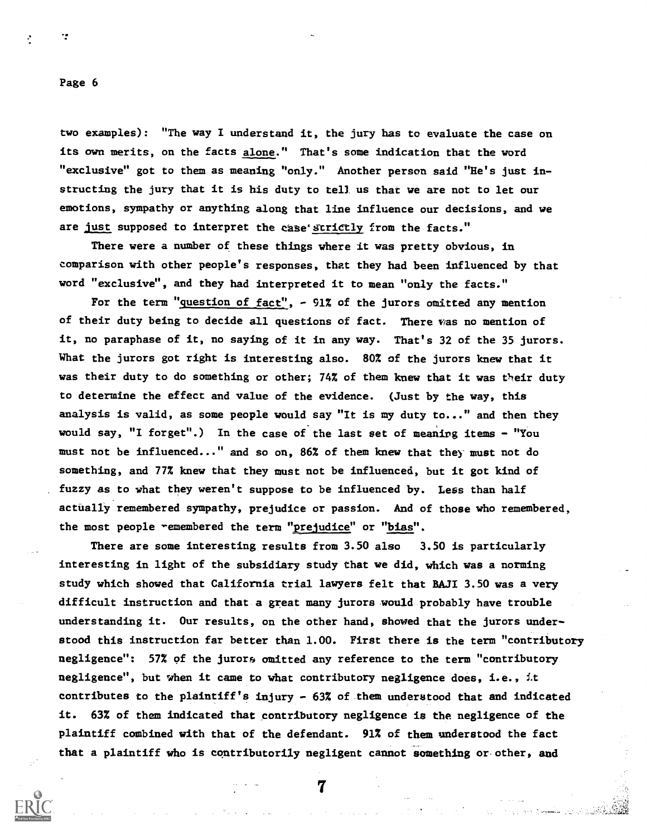$\mathcal{L}$ 

two examples): "The way I understand it, the jury has to evaluate the case on its own merits, on the facts alone." That's some indication that the word "exclusive" got to them as meaning "only." Another person said "He's just instructing the jury that it is his duty to tell us that we are not to let our emotions, sympathy or anything along that line influence our decisions, and we are just supposed to interpret the case' strictly from the facts."

There were a number of these things where it was pretty obvious, in comparison with other people's responses, that they had been influenced by that word "exclusive", and they had interpreted it to mean "only the facts."

For the term "question of fact",  $-$  91% of the jurors omitted any mention of their duty being to decide all questions of fact. There vas no mention of it, no paraphase of it, no saying of it in any way. That's 32 of the 35 jurors. What the jurors got right is interesting also. 80% of the jurors knew that it was their duty to do something or other; 74% of them knew that it was their duty to determine the effect and value of the evidence. (Just by the way, this analysis is valid, as some people would say "It is my duty to..." and then they would say, "I forget".) In the case of the last set of meanirg items - "You must not be influenced..." and so on, 86% of them knew that the) must not do something, and 77% knew that they must not be influenced, but it got kind of fuzzy as to what they weren't suppose to be influenced by. Less than half actually remembered sympathy, prejudice or passion. And of those who remembered, the most people remembered the term "prejudice" or "bias".

There are some interesting results from 3.50 also 3.50 is particularly interesting in light of the subsidiary study that we did, which was a norming study which showed that California trial lawyers felt that BAJI 3.50 was a very difficult instruction and that a great many jurors would probably have trouble understanding it. Our results, on the other hand, showed that the jurors understood this instruction far better than 1.00. First there is the term "contributory negligence": 57% of the jurors omitted any reference to the term "contributory negligence", but when it came to what contributory negligence does, i.e., it contributes to the plaintiff's injury - 63% of them understood that and indicated it. 63% of them indicated that contributory negligence is the negligence of the plaintiff combined with that of the defendant. 91% of them understood the fact that a plaintiff who is contributorily negligent cannot Something or other, and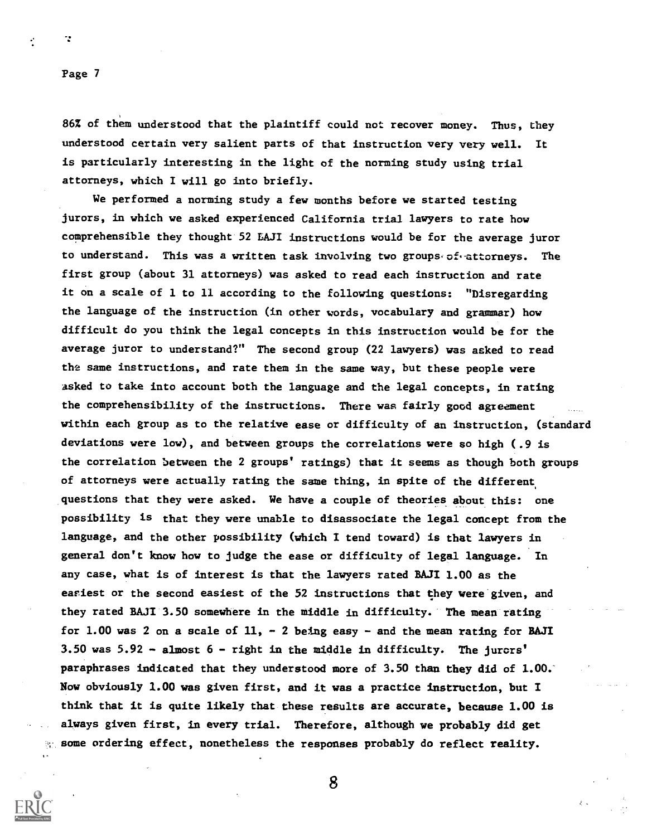$\mathcal{L}$ 

86% of them understood that the plaintiff could not recover money. Thus, they understood certain very salient parts of that instruction very very well. It is particularly interesting in the light of the norming study using trial attorneys, which I will go into briefly.

We performed a norming study a few months before we started testing jurors, in which we asked experienced California trial lawyers to rate how comprehensible they thought 52 LAJI instructions would be for the average juror to understand. This was a written task involving two groups of attorneys. The first group (about 31 attorneys) was asked to read each instruction and rate it on a scale of 1 to 11 according to the following questions: "Disregarding the language of the instruction (in other words, vocabulary and grammar) how difficult do you think the legal concepts in this instruction would be for the average juror to understand?" The second group (22 lawyers) was asked to read the same instructions, and rate them in the same way, but these people were asked to take into account both the language and the legal concepts, in rating the comprehensibility of the instructions. There was fairly good agreement within each group as to the relative ease or difficulty of an instruction, (standard deviations were low), and between groups the correlations were so high (.9 is the correlation between the 2 groups' ratings) that it seems as though both groups of attorneys were actually rating the same thing, in spite of the different questions that they were asked. We have a couple of theories about this: one possibility is that they were unable to disassociate the legal concept from the language, and the other possibility (which I tend toward) is that lawyers in general don't know how to judge the ease or difficulty of legal language. In any case, what is of interest is that the lawyers rated BAJI 1.00 as the easiest or the second easiest of the 52 instructions that they were given, and they rated EMI 3.50 somewhere in the middle in difficulty. The mean rating for 1.00 was 2 on a scale of  $11$ ,  $-$  2 being easy  $-$  and the mean rating for BAJI 3.50 was 5.92 - almost 6 - right in the middle in difficulty. The jurors' paraphrases indicated that they understood more of 3.50 than they did of 1.00. Now obviously 1.00 was given first, and it was a practice instruction, but I think that it is quite likely that these results are accurate, because 1.00 is always given first, in every trial. Therefore, although we probably did get  $\%$  some ordering effect, nonetheless the responses probably do reflect reality.

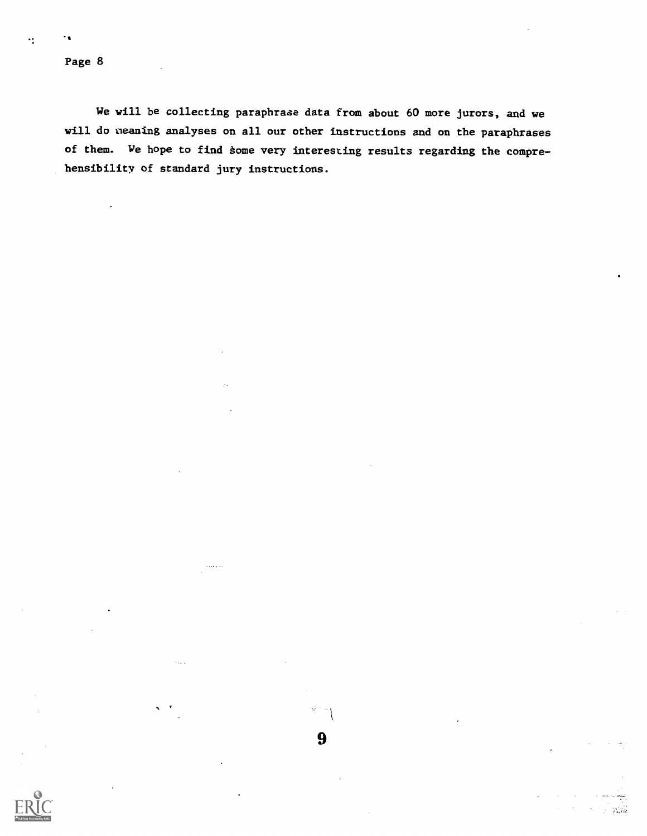$\ddot{\cdot}$ 

-

. . . .

We will be collecting paraphrase data from about 60 more jurors, and we will do neaning analyses on all our other instructions and on the paraphrases of them. We hope to find some very interesting results regarding the comprehensibility of standard jury instructions.

 $\alpha\leq\alpha$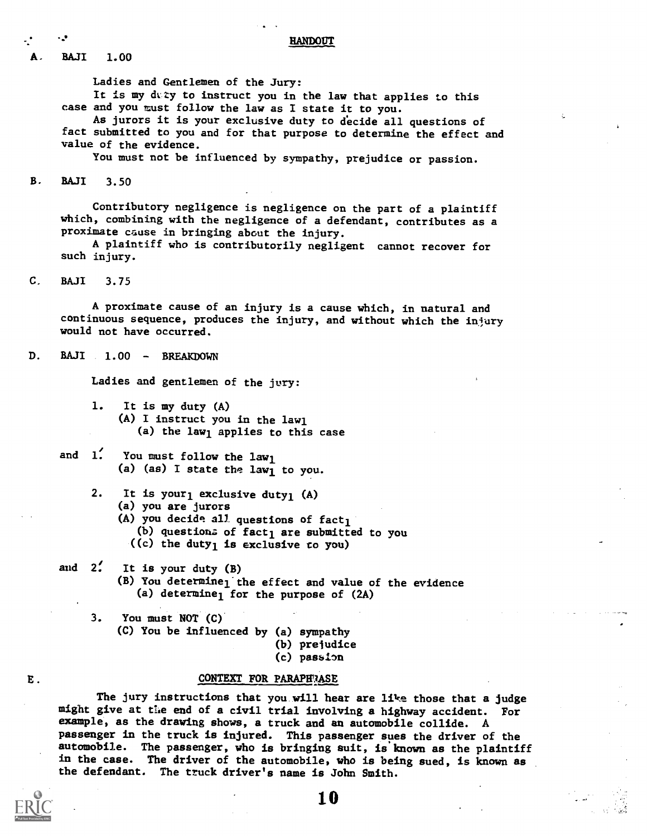**HANDOUT** 

A. BAJI 1.00

Ladies and Gentlemen of the Jury: It is my duzy to instruct you in the law that applies to this case and you must follow the law as I state it to you. As jurors it is your exclusive duty to decide all questions of

fact submitted to you and for that purpose to determine the effect and value of the evidence.

You must not be influenced by sympathy, prejudice or passion.

B. RAJI 3.50

Contributory negligence is negligence on the part of a plaintiff which, combining with the negligence of a defendant, contributes as a proximate cause in bringing about the injury.

A plaintiff who is contributorily negligent cannot recover for such injury.

C. BAJI 3.75

E.

A proximate cause of an injury is a cause which, in natural and continuous sequence, produces the injury, and without which the injury would not have occurred.

D. BAJI 1.00 - BREAKDOWN

Ladies and gentlemen of the jury:

- 1. It is my duty (A) (A) I instruct you in the lawl (a) the law<sub>l</sub> applies to this case
- and  $1'$ . You must follow the lawl (a) (as) I state the law1 to you.
	- 2. It is your<sub>l</sub> exclusive duty<sub>1</sub> (A)
		- (a) you are jurors
		- (A) you decide all questions of  $fact_1$

(b) questions of fact<sub>1</sub> are submitted to you

- ((c) the duty<sub>1</sub> is exclusive to you)
- and  $2'$ . It is your duty  $(B)$ (B) You determine<sub>l</sub> the effect and value of the evidence (a) determine<sub>l</sub> for the purpose of  $(2A)$

3. You must NOT (C)

- (C) You be influenced by (a) sympathy
	- (b) prejudice
	- (c) passion

## CONTEXT FOR PARAPH ASE

The jury instructions that you will hear are like those that a judge might give at the end of a civil trial involving a highway accident. For example, as the drawing shows, a truck and an automobile collide. A passenger in the truck is injured. This passenger sues the driver of the automobile. The passenger, who is bringing suit, is known as the plaintiff in the case. The driver of the automobile, who is being sued, is known as the defendant. The truck driver's name is John Smith.